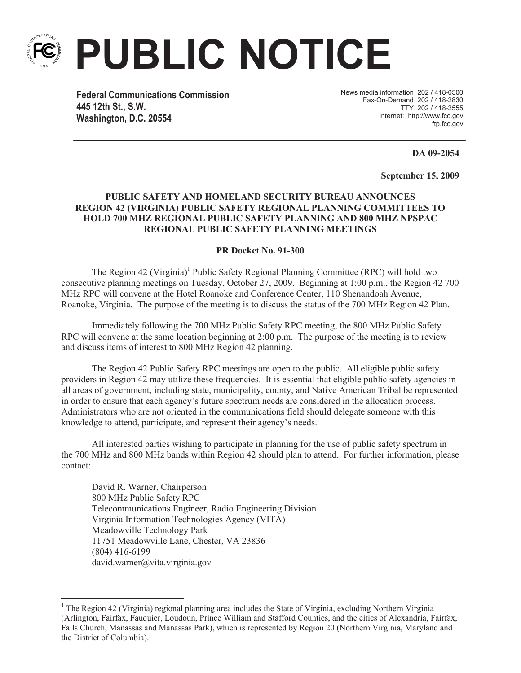

**PUBLIC NOTICE**

**Federal Communications Commission 445 12th St., S.W. Washington, D.C. 20554**

News media information 202 / 418-0500 Fax-On-Demand 202 / 418-2830 TTY 202 / 418-2555 Internet: http://www.fcc.gov ftp.fcc.gov

**DA 09-2054**

**September 15, 2009**

## **PUBLIC SAFETY AND HOMELAND SECURITY BUREAU ANNOUNCES REGION 42 (VIRGINIA) PUBLIC SAFETY REGIONAL PLANNING COMMITTEES TO HOLD 700 MHZ REGIONAL PUBLIC SAFETY PLANNING AND 800 MHZ NPSPAC REGIONAL PUBLIC SAFETY PLANNING MEETINGS**

## **PR Docket No. 91-300**

The Region 42 (Virginia)<sup>1</sup> Public Safety Regional Planning Committee (RPC) will hold two consecutive planning meetings on Tuesday, October 27, 2009. Beginning at 1:00 p.m., the Region 42 700 MHz RPC will convene at the Hotel Roanoke and Conference Center, 110 Shenandoah Avenue, Roanoke, Virginia. The purpose of the meeting is to discuss the status of the 700 MHz Region 42 Plan.

Immediately following the 700 MHz Public Safety RPC meeting, the 800 MHz Public Safety RPC will convene at the same location beginning at 2:00 p.m. The purpose of the meeting is to review and discuss items of interest to 800 MHz Region 42 planning.

The Region 42 Public Safety RPC meetings are open to the public. All eligible public safety providers in Region 42 may utilize these frequencies. It is essential that eligible public safety agencies in all areas of government, including state, municipality, county, and Native American Tribal be represented in order to ensure that each agency's future spectrum needs are considered in the allocation process. Administrators who are not oriented in the communications field should delegate someone with this knowledge to attend, participate, and represent their agency's needs.

All interested parties wishing to participate in planning for the use of public safety spectrum in the 700 MHz and 800 MHz bands within Region 42 should plan to attend. For further information, please contact:

David R. Warner, Chairperson 800 MHz Public Safety RPC Telecommunications Engineer, Radio Engineering Division Virginia Information Technologies Agency (VITA) Meadowville Technology Park 11751 Meadowville Lane, Chester, VA 23836 (804) 416-6199 david.warner@vita.virginia.gov

<sup>&</sup>lt;sup>1</sup> The Region 42 (Virginia) regional planning area includes the State of Virginia, excluding Northern Virginia (Arlington, Fairfax, Fauquier, Loudoun, Prince William and Stafford Counties, and the cities of Alexandria, Fairfax, Falls Church, Manassas and Manassas Park), which is represented by Region 20 (Northern Virginia, Maryland and the District of Columbia).